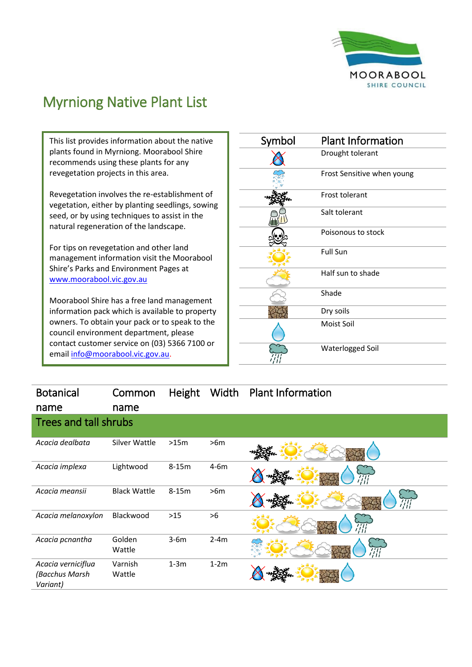

## Myrniong Native Plant List

This list provides information about the native plants found in Myrniong. Moorabool Shire recommends using these plants for any revegetation projects in this area.

Revegetation involves the re-establishment of vegetation, either by planting seedlings, sowing seed, or by using techniques to assist in the natural regeneration of the landscape.

For tips on revegetation and other land management information visit the Moorabool Shire's Parks and Environment Pages at [www.moorabool.vic.gov.au](http://www.moorabool.vic.gov.au/)

Moorabool Shire has a free land management information pack which is available to property owners. To obtain your pack or to speak to the council environment department, please contact customer service on (03) 5366 7100 or emai[l info@moorabool.vic.gov.au.](mailto:info@moorabool.vic.gov.au)

| Symbol | <b>Plant Information</b>   |
|--------|----------------------------|
|        | Drought tolerant           |
|        | Frost Sensitive when young |
|        | Frost tolerant             |
|        | Salt tolerant              |
|        | Poisonous to stock         |
|        | <b>Full Sun</b>            |
|        | Half sun to shade          |
|        | Shade                      |
|        | Dry soils                  |
|        | Moist Soil                 |
|        | Waterlogged Soil           |

| <b>Botanical</b>                                 | Common              | Height  | Width  | <b>Plant Information</b> |
|--------------------------------------------------|---------------------|---------|--------|--------------------------|
| name                                             | name                |         |        |                          |
| Trees and tall shrubs                            |                     |         |        |                          |
| Acacia dealbata                                  | Silver Wattle       | >15m    | >6m    |                          |
| Acacia implexa                                   | Lightwood           | $8-15m$ | $4-6m$ | '///                     |
| Acacia meansii                                   | <b>Black Wattle</b> | $8-15m$ | >6m    | ПÏ                       |
| Acacia melanoxylon                               | Blackwood           | $>15$   | >6     | '///                     |
| Acacia pcnantha                                  | Golden<br>Wattle    | $3-6m$  | $2-4m$ |                          |
| Acacia verniciflua<br>(Bacchus Marsh<br>Variant) | Varnish<br>Wattle   | $1-3m$  | $1-2m$ |                          |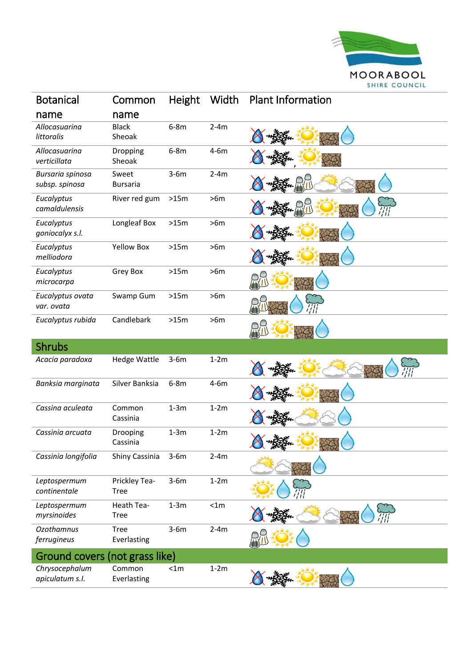

| <b>Botanical</b>                   | Common                       | Height | Width  | <b>Plant Information</b> |
|------------------------------------|------------------------------|--------|--------|--------------------------|
| name                               | name                         |        |        |                          |
| Allocasuarina<br>littoralis        | <b>Black</b><br>Sheoak       | $6-8m$ | $2-4m$ |                          |
| Allocasuarina<br>verticillata      | Dropping<br>Sheoak           | $6-8m$ | $4-6m$ |                          |
| Bursaria spinosa<br>subsp. spinosa | Sweet<br><b>Bursaria</b>     | $3-6m$ | $2-4m$ |                          |
| Eucalyptus<br>camaldulensis        | River red gum                | >15m   | >6m    |                          |
| Eucalyptus<br>goniocalyx s.l.      | Longleaf Box                 | >15m   | >6m    |                          |
| Eucalyptus<br>melliodora           | <b>Yellow Box</b>            | >15m   | >6m    |                          |
| Eucalyptus<br>microcarpa           | Grey Box                     | >15m   | >6m    |                          |
| Eucalyptus ovata<br>var. ovata     | Swamp Gum                    | >15m   | >6m    |                          |
| Eucalyptus rubida                  | Candlebark                   | >15m   | >6m    |                          |
| <b>Shrubs</b>                      |                              |        |        |                          |
| Acacia paradoxa                    | <b>Hedge Wattle</b>          | $3-6m$ | $1-2m$ |                          |
| Banksia marginata                  | Silver Banksia               | $6-8m$ | $4-6m$ |                          |
| Cassina aculeata                   | Common<br>Cassinia           | $1-3m$ | $1-2m$ |                          |
| Cassinia arcuata                   | Drooping<br>Cassinia         | $1-3m$ | $1-2m$ | $2 + 2$                  |
| Cassinia longifolia                | Shiny Cassinia               | $3-6m$ | $2-4m$ |                          |
| Leptospermum<br>continentale       | Prickley Tea-<br><b>Tree</b> | $3-6m$ | $1-2m$ |                          |
| Leptospermum<br>myrsinoides        | Heath Tea-<br><b>Tree</b>    | $1-3m$ | < 1m   |                          |
| <b>Ozothamnus</b><br>ferrugineus   | <b>Tree</b><br>Everlasting   | $3-6m$ | $2-4m$ |                          |
| Ground covers (not grass like)     |                              |        |        |                          |
| Chrysocephalum<br>apiculatum s.l.  | Common<br>Everlasting        | < 1m   | $1-2m$ |                          |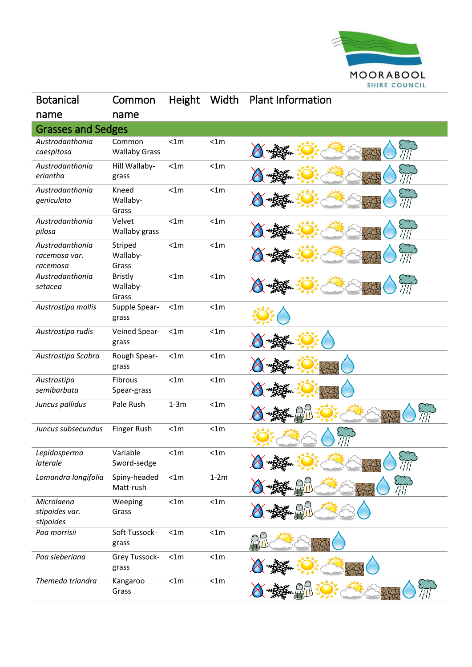

| <b>Botanical</b>                             | Common                              | Height | Width  | <b>Plant Information</b> |
|----------------------------------------------|-------------------------------------|--------|--------|--------------------------|
| name                                         | name                                |        |        |                          |
| <b>Grasses and Sedges</b>                    |                                     |        |        |                          |
| Austrodanthonia<br>caespitosa                | Common<br><b>Wallaby Grass</b>      | < 1m   | < 1m   |                          |
| Austrodanthonia<br>eriantha                  | Hill Wallaby-<br>grass              | < 1m   | < 1m   |                          |
| Austrodanthonia<br>geniculata                | Kneed<br>Wallaby-<br>Grass          | < 1m   | < 1m   |                          |
| Austrodanthonia<br>pilosa                    | Velvet<br>Wallaby grass             | < 1m   | < 1m   |                          |
| Austrodanthonia<br>racemosa var.<br>racemosa | Striped<br>Wallaby-<br>Grass        | < 1m   | < 1m   |                          |
| Austrodanthonia<br>setacea                   | <b>Bristly</b><br>Wallaby-<br>Grass | < 1m   | < 1m   |                          |
| Austrostipa mollis                           | Supple Spear-<br>grass              | < 1m   | < 1m   |                          |
| Austrostipa rudis                            | Veined Spear-<br>grass              | < 1m   | < 1m   |                          |
| Austrostipa Scabra                           | Rough Spear-<br>grass               | < 1m   | < 1m   |                          |
| Austrostipa<br>semibarbata                   | Fibrous<br>Spear-grass              | < 1m   | < 1m   |                          |
| Juncus pallidus                              | Pale Rush                           | $1-3m$ | < 1m   |                          |
| Juncus subsecundus                           | Finger Rush                         | < 1m   | < 1m   |                          |
| Lepidosperma<br>laterale                     | Variable<br>Sword-sedge             | <1m    | <1m    |                          |
| Lomandra longifolia                          | Spiny-headed<br>Matt-rush           | < 1m   | $1-2m$ |                          |
| Microlaena<br>stipoides var.<br>stipoides    | Weeping<br>Grass                    | < 1m   | < 1m   |                          |
| Poa morrisii                                 | Soft Tussock-<br>grass              | < 1m   | < 1m   |                          |
| Poa sieberiana                               | Grey Tussock-<br>grass              | < 1m   | < 1m   |                          |
| Themeda triandra                             | Kangaroo<br>Grass                   | < 1m   | < 1m   |                          |
|                                              |                                     |        |        |                          |